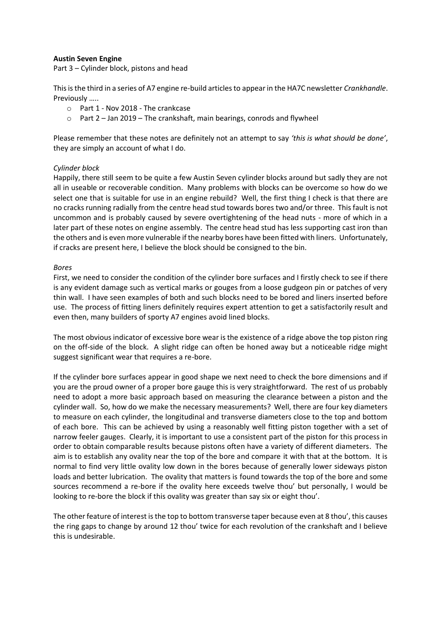# **Austin Seven Engine**

Part 3 – Cylinder block, pistons and head

This is the third in a series of A7 engine re-build articles to appear in the HA7C newsletter *Crankhandle*. Previously …..

- o Part 1 Nov 2018 The crankcase
- o Part 2 Jan 2019 The crankshaft, main bearings, conrods and flywheel

Please remember that these notes are definitely not an attempt to say *'this is what should be done'*, they are simply an account of what I do.

# *Cylinder block*

Happily, there still seem to be quite a few Austin Seven cylinder blocks around but sadly they are not all in useable or recoverable condition. Many problems with blocks can be overcome so how do we select one that is suitable for use in an engine rebuild? Well, the first thing I check is that there are no cracks running radially from the centre head stud towards bores two and/or three. This fault is not uncommon and is probably caused by severe overtightening of the head nuts - more of which in a later part of these notes on engine assembly. The centre head stud has less supporting cast iron than the others and is even more vulnerable if the nearby bores have been fitted with liners. Unfortunately, if cracks are present here, I believe the block should be consigned to the bin.

### *Bores*

First, we need to consider the condition of the cylinder bore surfaces and I firstly check to see if there is any evident damage such as vertical marks or gouges from a loose gudgeon pin or patches of very thin wall. I have seen examples of both and such blocks need to be bored and liners inserted before use. The process of fitting liners definitely requires expert attention to get a satisfactorily result and even then, many builders of sporty A7 engines avoid lined blocks.

The most obvious indicator of excessive bore wear is the existence of a ridge above the top piston ring on the off-side of the block. A slight ridge can often be honed away but a noticeable ridge might suggest significant wear that requires a re-bore.

If the cylinder bore surfaces appear in good shape we next need to check the bore dimensions and if you are the proud owner of a proper bore gauge this is very straightforward. The rest of us probably need to adopt a more basic approach based on measuring the clearance between a piston and the cylinder wall. So, how do we make the necessary measurements? Well, there are four key diameters to measure on each cylinder, the longitudinal and transverse diameters close to the top and bottom of each bore. This can be achieved by using a reasonably well fitting piston together with a set of narrow feeler gauges. Clearly, it is important to use a consistent part of the piston for this process in order to obtain comparable results because pistons often have a variety of different diameters. The aim is to establish any ovality near the top of the bore and compare it with that at the bottom. It is normal to find very little ovality low down in the bores because of generally lower sideways piston loads and better lubrication. The ovality that matters is found towards the top of the bore and some sources recommend a re-bore if the ovality here exceeds twelve thou' but personally, I would be looking to re-bore the block if this ovality was greater than say six or eight thou'.

The other feature of interest is the top to bottom transverse taper because even at 8 thou', this causes the ring gaps to change by around 12 thou' twice for each revolution of the crankshaft and I believe this is undesirable.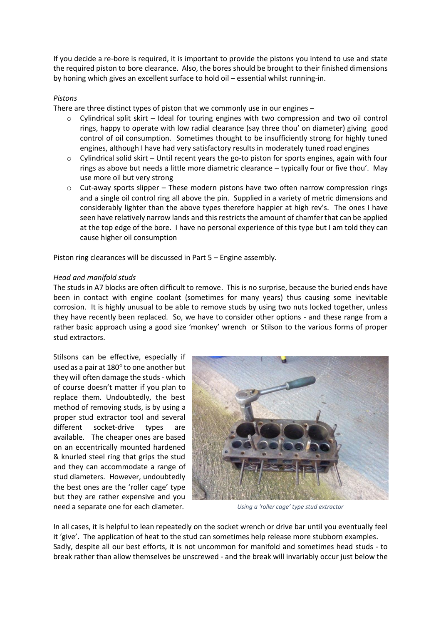If you decide a re-bore is required, it is important to provide the pistons you intend to use and state the required piston to bore clearance. Also, the bores should be brought to their finished dimensions by honing which gives an excellent surface to hold oil – essential whilst running-in.

# *Pistons*

There are three distinct types of piston that we commonly use in our engines –

- $\circ$  Cylindrical split skirt Ideal for touring engines with two compression and two oil control rings, happy to operate with low radial clearance (say three thou' on diameter) giving good control of oil consumption. Sometimes thought to be insufficiently strong for highly tuned engines, although I have had very satisfactory results in moderately tuned road engines
- $\circ$  Cylindrical solid skirt Until recent years the go-to piston for sports engines, again with four rings as above but needs a little more diametric clearance – typically four or five thou'. May use more oil but very strong
- $\circ$  Cut-away sports slipper These modern pistons have two often narrow compression rings and a single oil control ring all above the pin. Supplied in a variety of metric dimensions and considerably lighter than the above types therefore happier at high rev's. The ones I have seen have relatively narrow lands and this restricts the amount of chamfer that can be applied at the top edge of the bore. I have no personal experience of this type but I am told they can cause higher oil consumption

Piston ring clearances will be discussed in Part 5 – Engine assembly.

### *Head and manifold studs*

The studs in A7 blocks are often difficult to remove. This is no surprise, because the buried ends have been in contact with engine coolant (sometimes for many years) thus causing some inevitable corrosion. It is highly unusual to be able to remove studs by using two nuts locked together, unless they have recently been replaced. So, we have to consider other options - and these range from a rather basic approach using a good size 'monkey' wrench or Stilson to the various forms of proper stud extractors.

Stilsons can be effective, especially if used as a pair at 180° to one another but they will often damage the studs- which of course doesn't matter if you plan to replace them. Undoubtedly, the best method of removing studs, is by using a proper stud extractor tool and several different socket-drive types are available. The cheaper ones are based on an eccentrically mounted hardened & knurled steel ring that grips the stud and they can accommodate a range of stud diameters. However, undoubtedly the best ones are the 'roller cage' type but they are rather expensive and you need a separate one for each diameter.



*Using a 'roller cage' type stud extractor*

In all cases, it is helpful to lean repeatedly on the socket wrench or drive bar until you eventually feel it 'give'. The application of heat to the stud can sometimes help release more stubborn examples. Sadly, despite all our best efforts, it is not uncommon for manifold and sometimes head studs - to break rather than allow themselves be unscrewed - and the break will invariably occur just below the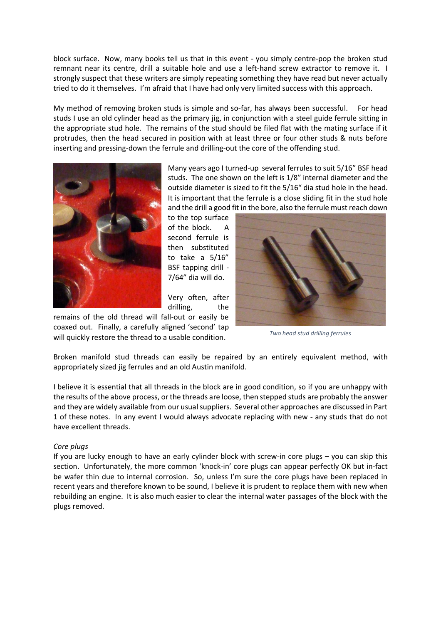block surface. Now, many books tell us that in this event - you simply centre-pop the broken stud remnant near its centre, drill a suitable hole and use a left-hand screw extractor to remove it. I strongly suspect that these writers are simply repeating something they have read but never actually tried to do it themselves. I'm afraid that I have had only very limited success with this approach.

My method of removing broken studs is simple and so-far, has always been successful. For head studs I use an old cylinder head as the primary jig, in conjunction with a steel guide ferrule sitting in the appropriate stud hole. The remains of the stud should be filed flat with the mating surface if it protrudes, then the head secured in position with at least three or four other studs & nuts before inserting and pressing-down the ferrule and drilling-out the core of the offending stud.



Many years ago I turned-up several ferrules to suit 5/16" BSF head studs. The one shown on the left is 1/8" internal diameter and the outside diameter is sized to fit the 5/16" dia stud hole in the head. It is important that the ferrule is a close sliding fit in the stud hole and the drill a good fit in the bore, also the ferrule must reach down

to the top surface of the block. A second ferrule is then substituted to take a 5/16" BSF tapping drill - 7/64" dia will do.

Very often, after drilling, the

remains of the old thread will fall-out or easily be coaxed out. Finally, a carefully aligned 'second' tap will quickly restore the thread to a usable condition.



*Two head stud drilling ferrules*

Broken manifold stud threads can easily be repaired by an entirely equivalent method, with appropriately sized jig ferrules and an old Austin manifold.

I believe it is essential that all threads in the block are in good condition, so if you are unhappy with the results of the above process, or the threads are loose, then stepped studs are probably the answer and they are widely available from our usual suppliers. Several other approaches are discussed in Part 1 of these notes. In any event I would always advocate replacing with new - any studs that do not have excellent threads.

#### *Core plugs*

If you are lucky enough to have an early cylinder block with screw-in core plugs – you can skip this section. Unfortunately, the more common 'knock-in' core plugs can appear perfectly OK but in-fact be wafer thin due to internal corrosion. So, unless I'm sure the core plugs have been replaced in recent years and therefore known to be sound, I believe it is prudent to replace them with new when rebuilding an engine. It is also much easier to clear the internal water passages of the block with the plugs removed.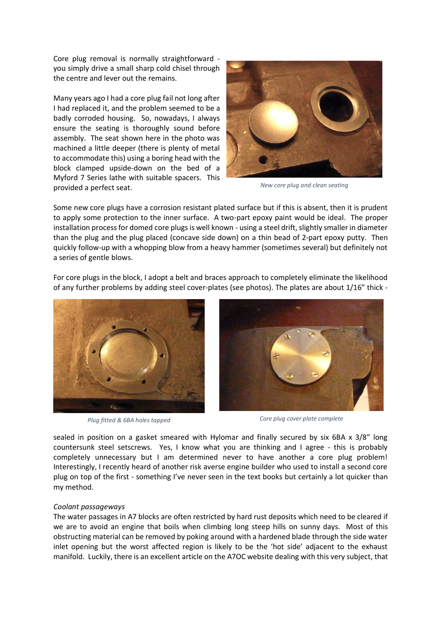Core plug removal is normally straightforward you simply drive a small sharp cold chisel through the centre and lever out the remains.

Many years ago I had a core plug fail not long after I had replaced it, and the problem seemed to be a badly corroded housing. So, nowadays, I always ensure the seating is thoroughly sound before assembly. The seat shown here in the photo was machined a little deeper (there is plenty of metal to accommodate this) using a boring head with the block clamped upside-down on the bed of a Myford 7 Series lathe with suitable spacers. This provided a perfect seat.



*New core plug and clean seating*

Some new core plugs have a corrosion resistant plated surface but if this is absent, then it is prudent to apply some protection to the inner surface. A two-part epoxy paint would be ideal. The proper installation process for domed core plugs is well known - using a steel drift, slightly smaller in diameter than the plug and the plug placed (concave side down) on a thin bead of 2-part epoxy putty. Then quickly follow-up with a whopping blow from a heavy hammer (sometimes several) but definitely not a series of gentle blows.

For core plugs in the block, I adopt a belt and braces approach to completely eliminate the likelihood of any further problems by adding steel cover-plates (see photos). The plates are about 1/16" thick -





*Plug fitted & 6BA holes tapped Core plug cover plate complete*

sealed in position on a gasket smeared with Hylomar and finally secured by six 6BA x 3/8" long countersunk steel setscrews. Yes, I know what you are thinking and I agree - this is probably completely unnecessary but I am determined never to have another a core plug problem! Interestingly, I recently heard of another risk averse engine builder who used to install a second core plug on top of the first - something I've never seen in the text books but certainly a lot quicker than my method.

#### *Coolant passageways*

The water passages in A7 blocks are often restricted by hard rust deposits which need to be cleared if we are to avoid an engine that boils when climbing long steep hills on sunny days. Most of this obstructing material can be removed by poking around with a hardened blade through the side water inlet opening but the worst affected region is likely to be the 'hot side' adjacent to the exhaust manifold. Luckily, there is an excellent article on the A7OC website dealing with this very subject, that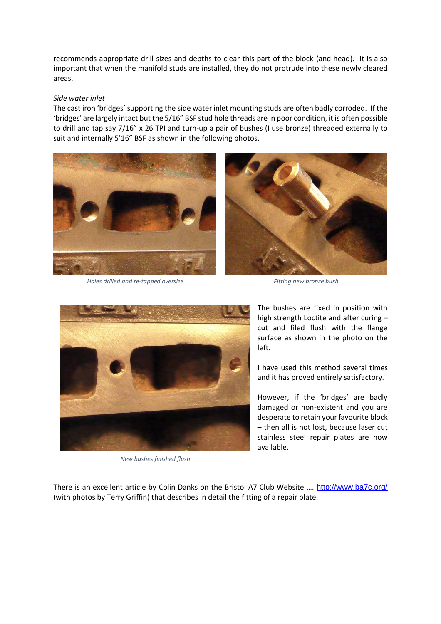recommends appropriate drill sizes and depths to clear this part of the block (and head). It is also important that when the manifold studs are installed, they do not protrude into these newly cleared areas.

### *Side water inlet*

The cast iron 'bridges' supporting the side water inlet mounting studs are often badly corroded. If the 'bridges' are largely intact but the 5/16" BSF stud hole threads are in poor condition, it is often possible to drill and tap say 7/16" x 26 TPI and turn-up a pair of bushes (I use bronze) threaded externally to suit and internally 5'16" BSF as shown in the following photos.



*Holes drilled and re-tapped oversize Fitting new bronze bush*



*New bushes finished flush*

The bushes are fixed in position with high strength Loctite and after curing – cut and filed flush with the flange surface as shown in the photo on the left.

I have used this method several times and it has proved entirely satisfactory.

However, if the 'bridges' are badly damaged or non-existent and you are desperate to retain your favourite block – then all is not lost, because laser cut stainless steel repair plates are now available.

There is an excellent article by Colin Danks on the Bristol A7 Club Website …. <http://www.ba7c.org/> (with photos by Terry Griffin) that describes in detail the fitting of a repair plate.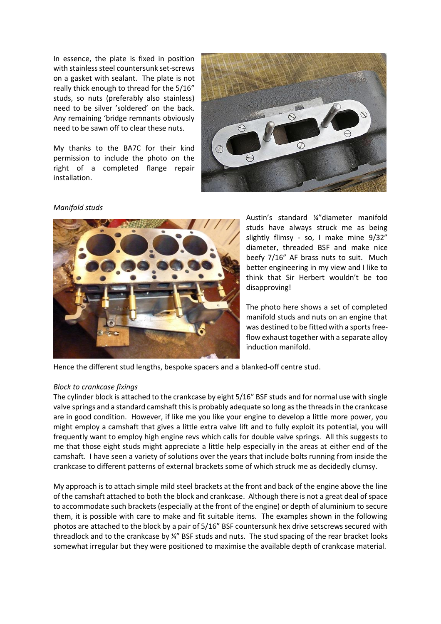In essence, the plate is fixed in position with stainless steel countersunk set-screws on a gasket with sealant. The plate is not really thick enough to thread for the 5/16" studs, so nuts (preferably also stainless) need to be silver 'soldered' on the back. Any remaining 'bridge remnants obviously need to be sawn off to clear these nuts.

My thanks to the BA7C for their kind permission to include the photo on the right of a completed flange repair installation.



#### *Manifold studs*



Austin's standard ¼"diameter manifold studs have always struck me as being slightly flimsy - so, I make mine 9/32" diameter, threaded BSF and make nice beefy 7/16" AF brass nuts to suit. Much better engineering in my view and I like to think that Sir Herbert wouldn't be too disapproving!

The photo here shows a set of completed manifold studs and nuts on an engine that was destined to be fitted with a sports freeflow exhaust together with a separate alloy induction manifold.

Hence the different stud lengths, bespoke spacers and a blanked-off centre stud.

#### *Block to crankcase fixings*

The cylinder block is attached to the crankcase by eight 5/16" BSF studs and for normal use with single valve springs and a standard camshaft this is probably adequate so long as the threads in the crankcase are in good condition. However, if like me you like your engine to develop a little more power, you might employ a camshaft that gives a little extra valve lift and to fully exploit its potential, you will frequently want to employ high engine revs which calls for double valve springs. All this suggests to me that those eight studs might appreciate a little help especially in the areas at either end of the camshaft. I have seen a variety of solutions over the years that include bolts running from inside the crankcase to different patterns of external brackets some of which struck me as decidedly clumsy.

My approach is to attach simple mild steel brackets at the front and back of the engine above the line of the camshaft attached to both the block and crankcase. Although there is not a great deal of space to accommodate such brackets (especially at the front of the engine) or depth of aluminium to secure them, it is possible with care to make and fit suitable items. The examples shown in the following photos are attached to the block by a pair of 5/16" BSF countersunk hex drive setscrews secured with threadlock and to the crankcase by ¼" BSF studs and nuts. The stud spacing of the rear bracket looks somewhat irregular but they were positioned to maximise the available depth of crankcase material.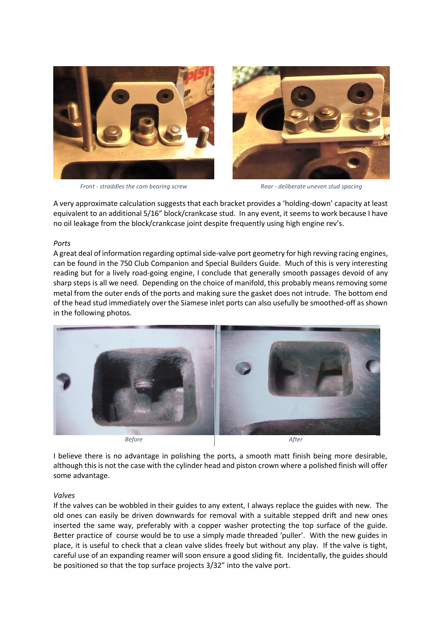

*Front - straddles the cam bearing screw Rear - deliberate uneven stud spacing*



A very approximate calculation suggests that each bracket provides a 'holding-down' capacity at least equivalent to an additional 5/16" block/crankcase stud. In any event, it seems to work because I have no oil leakage from the block/crankcase joint despite frequently using high engine rev's.

#### *Ports*

A great deal of information regarding optimal side-valve port geometry for high revving racing engines, can be found in the 750 Club Companion and Special Builders Guide. Much of this is very interesting reading but for a lively road-going engine, I conclude that generally smooth passages devoid of any sharp steps is all we need. Depending on the choice of manifold, this probably means removing some metal from the outer ends of the ports and making sure the gasket does not intrude. The bottom end of the head stud immediately over the Siamese inlet ports can also usefully be smoothed-off as shown in the following photos.



*Before After*

I believe there is no advantage in polishing the ports, a smooth matt finish being more desirable, although this is not the case with the cylinder head and piston crown where a polished finish will offer some advantage.

#### *Valves*

If the valves can be wobbled in their guides to any extent, I always replace the guides with new. The old ones can easily be driven downwards for removal with a suitable stepped drift and new ones inserted the same way, preferably with a copper washer protecting the top surface of the guide. Better practice of course would be to use a simply made threaded 'puller'. With the new guides in place, it is useful to check that a clean valve slides freely but without any play. If the valve is tight, careful use of an expanding reamer will soon ensure a good sliding fit. Incidentally, the guides should be positioned so that the top surface projects 3/32" into the valve port.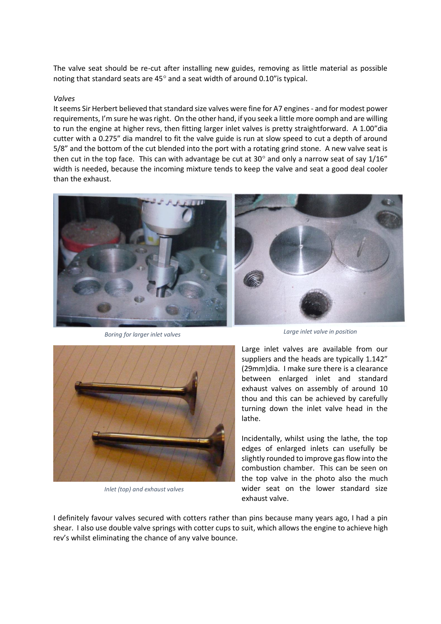The valve seat should be re-cut after installing new guides, removing as little material as possible noting that standard seats are  $45^{\circ}$  and a seat width of around 0.10" is typical.

#### *Valves*

It seems Sir Herbert believed that standard size valves were fine for A7 engines - and for modest power requirements, I'm sure he was right. On the other hand, if you seek a little more oomph and are willing to run the engine at higher revs, then fitting larger inlet valves is pretty straightforward. A 1.00"dia cutter with a 0.275" dia mandrel to fit the valve guide is run at slow speed to cut a depth of around 5/8" and the bottom of the cut blended into the port with a rotating grind stone. A new valve seat is then cut in the top face. This can with advantage be cut at  $30^{\circ}$  and only a narrow seat of say  $1/16''$ width is needed, because the incoming mixture tends to keep the valve and seat a good deal cooler than the exhaust.



*Boring for larger inlet valves Large inlet valve in position*



*Inlet (top) and exhaust valves*

Large inlet valves are available from our suppliers and the heads are typically 1.142" (29mm)dia. I make sure there is a clearance between enlarged inlet and standard exhaust valves on assembly of around 10 thou and this can be achieved by carefully turning down the inlet valve head in the lathe.

Incidentally, whilst using the lathe, the top edges of enlarged inlets can usefully be slightly rounded to improve gas flow into the combustion chamber. This can be seen on the top valve in the photo also the much wider seat on the lower standard size exhaust valve.

I definitely favour valves secured with cotters rather than pins because many years ago, I had a pin shear. I also use double valve springs with cotter cups to suit, which allows the engine to achieve high rev's whilst eliminating the chance of any valve bounce.